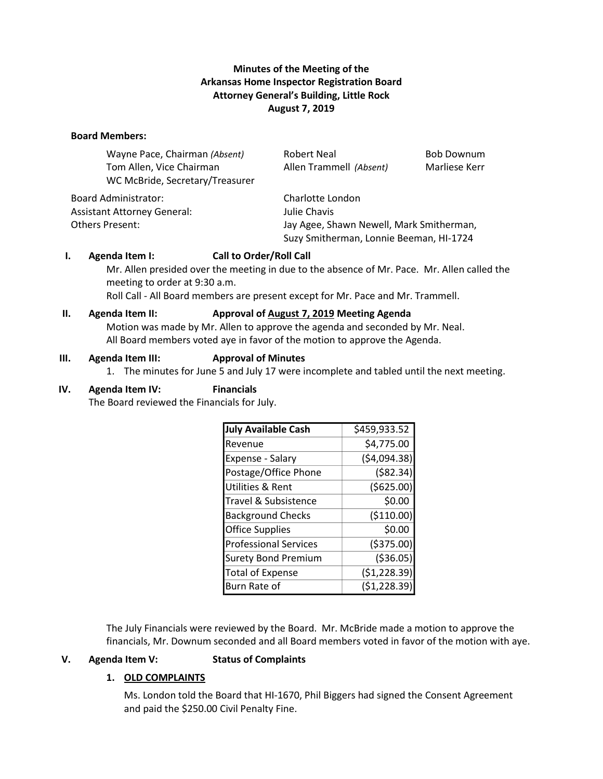## **Minutes of the Meeting of the Arkansas Home Inspector Registration Board Attorney General's Building, Little Rock August 7, 2019**

#### **Board Members:**

| Wayne Pace, Chairman (Absent)   | Robert Neal             | <b>Bob Downum</b> |
|---------------------------------|-------------------------|-------------------|
| Tom Allen, Vice Chairman        | Allen Trammell (Absent) | Marliese Kerr     |
| WC McBride, Secretary/Treasurer |                         |                   |
| Board Administrator:            | Charlotte London        |                   |

Assistant Attorney General: Julie Chavis

Others Present: Jay Agee, Shawn Newell, Mark Smitherman, Suzy Smitherman, Lonnie Beeman, HI-1724

### **I. Agenda Item I: Call to Order/Roll Call**

Mr. Allen presided over the meeting in due to the absence of Mr. Pace. Mr. Allen called the meeting to order at 9:30 a.m.

Roll Call - All Board members are present except for Mr. Pace and Mr. Trammell.

### **II. Agenda Item II: Approval of August 7, 2019 Meeting Agenda**

Motion was made by Mr. Allen to approve the agenda and seconded by Mr. Neal. All Board members voted aye in favor of the motion to approve the Agenda.

#### **III. Agenda Item III: Approval of Minutes**

1. The minutes for June 5 and July 17 were incomplete and tabled until the next meeting.

#### **IV. Agenda Item IV: Financials**

The Board reviewed the Financials for July.

| <b>July Available Cash</b>   | \$459,933.52 |
|------------------------------|--------------|
| Revenue                      | \$4,775.00   |
| Expense - Salary             | (54,094.38)  |
| Postage/Office Phone         | ( \$82.34)   |
| Utilities & Rent             | (5625.00)    |
| Travel & Subsistence         | \$0.00       |
| <b>Background Checks</b>     | ( \$110.00)  |
| <b>Office Supplies</b>       | \$0.00       |
| <b>Professional Services</b> | ( \$375.00)  |
| <b>Surety Bond Premium</b>   | ( \$36.05)   |
| <b>Total of Expense</b>      | (\$1,228.39) |
| Burn Rate of                 | (51, 228.39) |

The July Financials were reviewed by the Board. Mr. McBride made a motion to approve the financials, Mr. Downum seconded and all Board members voted in favor of the motion with aye.

### **V. Agenda Item V: Status of Complaints**

### **1. OLD COMPLAINTS**

Ms. London told the Board that HI-1670, Phil Biggers had signed the Consent Agreement and paid the \$250.00 Civil Penalty Fine.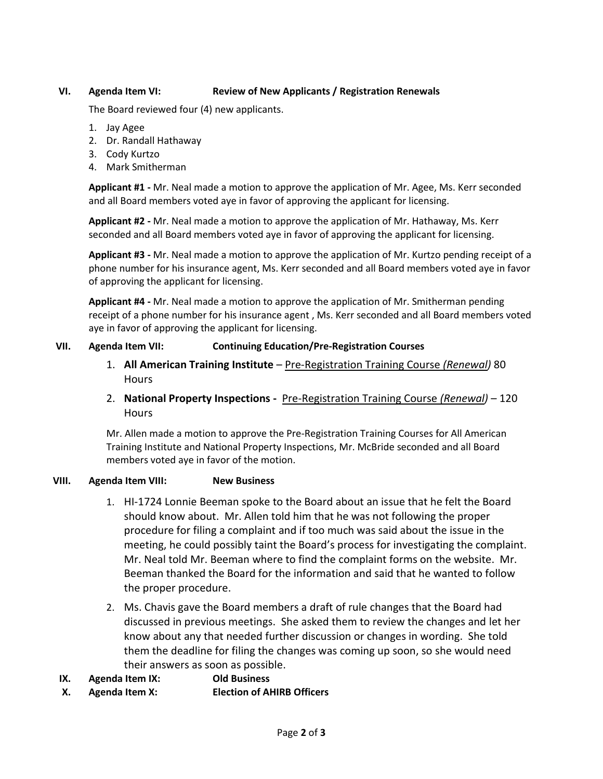## **VI. Agenda Item VI: Review of New Applicants / Registration Renewals**

The Board reviewed four (4) new applicants.

- 1. Jay Agee
- 2. Dr. Randall Hathaway
- 3. Cody Kurtzo
- 4. Mark Smitherman

**Applicant #1 -** Mr. Neal made a motion to approve the application of Mr. Agee, Ms. Kerr seconded and all Board members voted aye in favor of approving the applicant for licensing.

**Applicant #2 -** Mr. Neal made a motion to approve the application of Mr. Hathaway, Ms. Kerr seconded and all Board members voted aye in favor of approving the applicant for licensing.

**Applicant #3 -** Mr. Neal made a motion to approve the application of Mr. Kurtzo pending receipt of a phone number for his insurance agent, Ms. Kerr seconded and all Board members voted aye in favor of approving the applicant for licensing.

**Applicant #4 -** Mr. Neal made a motion to approve the application of Mr. Smitherman pending receipt of a phone number for his insurance agent , Ms. Kerr seconded and all Board members voted aye in favor of approving the applicant for licensing.

### **VII. Agenda Item VII: Continuing Education/Pre-Registration Courses**

- 1. **All American Training Institute** Pre-Registration Training Course *(Renewal)* 80 **Hours**
- 2. **National Property Inspections -** Pre-Registration Training Course *(Renewal)* 120 **Hours**

Mr. Allen made a motion to approve the Pre-Registration Training Courses for All American Training Institute and National Property Inspections, Mr. McBride seconded and all Board members voted aye in favor of the motion.

### **VIII. Agenda Item VIII: New Business**

- 1. HI-1724 Lonnie Beeman spoke to the Board about an issue that he felt the Board should know about. Mr. Allen told him that he was not following the proper procedure for filing a complaint and if too much was said about the issue in the meeting, he could possibly taint the Board's process for investigating the complaint. Mr. Neal told Mr. Beeman where to find the complaint forms on the website. Mr. Beeman thanked the Board for the information and said that he wanted to follow the proper procedure.
- 2. Ms. Chavis gave the Board members a draft of rule changes that the Board had discussed in previous meetings. She asked them to review the changes and let her know about any that needed further discussion or changes in wording. She told them the deadline for filing the changes was coming up soon, so she would need their answers as soon as possible.
- **IX. Agenda Item IX: Old Business**
- **X. Agenda Item X: Election of AHIRB Officers**